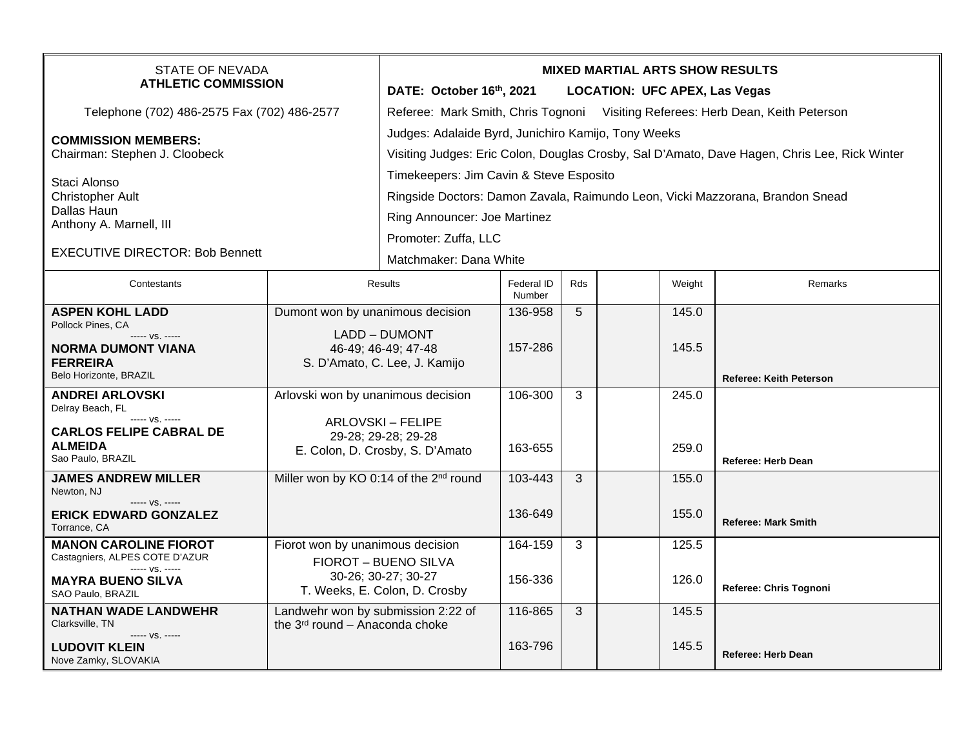| STATE OF NEVADA<br><b>ATHLETIC COMMISSION</b>     |                                                      | <b>MIXED MARTIAL ARTS SHOW RESULTS</b>                                                       |                      |                 |  |        |                                |  |
|---------------------------------------------------|------------------------------------------------------|----------------------------------------------------------------------------------------------|----------------------|-----------------|--|--------|--------------------------------|--|
|                                                   |                                                      | DATE: October 16th, 2021<br><b>LOCATION: UFC APEX, Las Vegas</b>                             |                      |                 |  |        |                                |  |
| Telephone (702) 486-2575 Fax (702) 486-2577       |                                                      | Referee: Mark Smith, Chris Tognoni Visiting Referees: Herb Dean, Keith Peterson              |                      |                 |  |        |                                |  |
| <b>COMMISSION MEMBERS:</b>                        |                                                      | Judges: Adalaide Byrd, Junichiro Kamijo, Tony Weeks                                          |                      |                 |  |        |                                |  |
| Chairman: Stephen J. Cloobeck                     |                                                      | Visiting Judges: Eric Colon, Douglas Crosby, Sal D'Amato, Dave Hagen, Chris Lee, Rick Winter |                      |                 |  |        |                                |  |
| Staci Alonso                                      |                                                      | Timekeepers: Jim Cavin & Steve Esposito                                                      |                      |                 |  |        |                                |  |
| <b>Christopher Ault</b>                           |                                                      | Ringside Doctors: Damon Zavala, Raimundo Leon, Vicki Mazzorana, Brandon Snead                |                      |                 |  |        |                                |  |
| Dallas Haun<br>Anthony A. Marnell, III            |                                                      | Ring Announcer: Joe Martinez                                                                 |                      |                 |  |        |                                |  |
|                                                   |                                                      | Promoter: Zuffa, LLC                                                                         |                      |                 |  |        |                                |  |
| <b>EXECUTIVE DIRECTOR: Bob Bennett</b>            |                                                      | Matchmaker: Dana White                                                                       |                      |                 |  |        |                                |  |
| Contestants                                       |                                                      | <b>Results</b>                                                                               | Federal ID<br>Number | <b>Rds</b>      |  | Weight | Remarks                        |  |
| <b>ASPEN KOHL LADD</b>                            | Dumont won by unanimous decision                     |                                                                                              | 136-958              | $5\phantom{.0}$ |  | 145.0  |                                |  |
| Pollock Pines, CA<br>----- VS. -----              | LADD - DUMONT                                        |                                                                                              |                      |                 |  |        |                                |  |
| <b>NORMA DUMONT VIANA</b><br><b>FERREIRA</b>      |                                                      | 46-49; 46-49; 47-48<br>S. D'Amato, C. Lee, J. Kamijo                                         | 157-286              |                 |  | 145.5  |                                |  |
| Belo Horizonte, BRAZIL                            |                                                      |                                                                                              |                      |                 |  |        | <b>Referee: Keith Peterson</b> |  |
| <b>ANDREI ARLOVSKI</b><br>Delray Beach, FL        | Arlovski won by unanimous decision                   |                                                                                              | 106-300              | 3               |  | 245.0  |                                |  |
| ----- VS. -----                                   | <b>ARLOVSKI - FELIPE</b>                             |                                                                                              |                      |                 |  |        |                                |  |
| <b>CARLOS FELIPE CABRAL DE</b><br><b>ALMEIDA</b>  |                                                      | 29-28; 29-28; 29-28<br>E. Colon, D. Crosby, S. D'Amato                                       | 163-655              |                 |  | 259.0  |                                |  |
| Sao Paulo, BRAZIL                                 |                                                      |                                                                                              |                      |                 |  |        | <b>Referee: Herb Dean</b>      |  |
| <b>JAMES ANDREW MILLER</b><br>Newton, NJ          | Miller won by KO 0:14 of the 2 <sup>nd</sup> round   |                                                                                              | 103-443              | 3               |  | 155.0  |                                |  |
| ----- VS. -----                                   |                                                      |                                                                                              | 136-649              |                 |  | 155.0  |                                |  |
| <b>ERICK EDWARD GONZALEZ</b><br>Torrance, CA      |                                                      |                                                                                              |                      |                 |  |        | <b>Referee: Mark Smith</b>     |  |
| <b>MANON CAROLINE FIOROT</b>                      | Fiorot won by unanimous decision                     |                                                                                              | 164-159              | 3               |  | 125.5  |                                |  |
| Castagniers, ALPES COTE D'AZUR<br>----- VS. ----- |                                                      | FIOROT - BUENO SILVA                                                                         |                      |                 |  |        |                                |  |
| <b>MAYRA BUENO SILVA</b><br>SAO Paulo, BRAZIL     | 30-26; 30-27; 30-27<br>T. Weeks, E. Colon, D. Crosby |                                                                                              | 156-336              |                 |  | 126.0  | Referee: Chris Tognoni         |  |
| <b>NATHAN WADE LANDWEHR</b>                       | Landwehr won by submission 2:22 of                   |                                                                                              | 116-865              | 3               |  | 145.5  |                                |  |
| Clarksville, TN<br>----- VS. -----                | the 3 <sup>rd</sup> round - Anaconda choke           |                                                                                              |                      |                 |  |        |                                |  |
| <b>LUDOVIT KLEIN</b><br>Nove Zamky, SLOVAKIA      |                                                      |                                                                                              | 163-796              |                 |  | 145.5  | <b>Referee: Herb Dean</b>      |  |